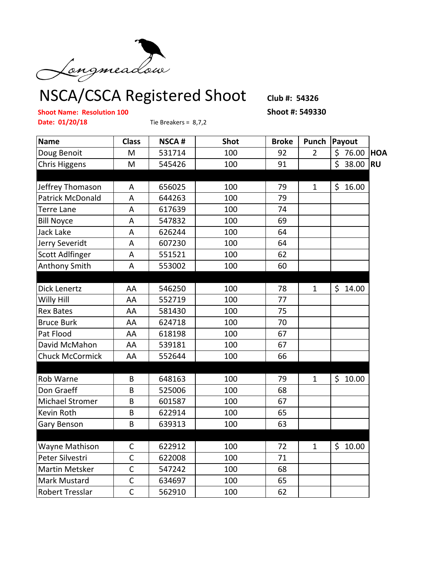

NSCA/CSCA Registered Shoot **Club #: 54326**

## **Shoot Name: Resolution 100 Shoot #: 549330**

**Date: 01/20/18** Tie Breakers = 8,7,2

| <b>Name</b>             | <b>Class</b> | <b>NSCA#</b> | <b>Shot</b> | <b>Broke</b> | Punch          | Payout      |            |
|-------------------------|--------------|--------------|-------------|--------------|----------------|-------------|------------|
| Doug Benoit             | M            | 531714       | 100         | 92           | $\overline{2}$ | \$76.00     | <b>HOA</b> |
| <b>Chris Higgens</b>    | M            | 545426       | 100         | 91           |                | \$38.00     | <b>RU</b>  |
|                         |              |              |             |              |                |             |            |
| Jeffrey Thomason        | Α            | 656025       | 100         | 79           | $\mathbf{1}$   | \$<br>16.00 |            |
| <b>Patrick McDonald</b> | A            | 644263       | 100         | 79           |                |             |            |
| <b>Terre Lane</b>       | A            | 617639       | 100         | 74           |                |             |            |
| <b>Bill Noyce</b>       | A            | 547832       | 100         | 69           |                |             |            |
| Jack Lake               | A            | 626244       | 100         | 64           |                |             |            |
| Jerry Severidt          | A            | 607230       | 100         | 64           |                |             |            |
| <b>Scott Adlfinger</b>  | A            | 551521       | 100         | 62           |                |             |            |
| <b>Anthony Smith</b>    | A            | 553002       | 100         | 60           |                |             |            |
|                         |              |              |             |              |                |             |            |
| Dick Lenertz            | AA           | 546250       | 100         | 78           | $\mathbf{1}$   | \$14.00     |            |
| Willy Hill              | AA           | 552719       | 100         | 77           |                |             |            |
| <b>Rex Bates</b>        | AA           | 581430       | 100         | 75           |                |             |            |
| <b>Bruce Burk</b>       | AA           | 624718       | 100         | 70           |                |             |            |
| Pat Flood               | AA           | 618198       | 100         | 67           |                |             |            |
| David McMahon           | AA           | 539181       | 100         | 67           |                |             |            |
| <b>Chuck McCormick</b>  | AA           | 552644       | 100         | 66           |                |             |            |
|                         |              |              |             |              |                |             |            |
| Rob Warne               | B            | 648163       | 100         | 79           | $\mathbf{1}$   | \$10.00     |            |
| Don Graeff              | B            | 525006       | 100         | 68           |                |             |            |
| <b>Michael Stromer</b>  | B            | 601587       | 100         | 67           |                |             |            |
| Kevin Roth              | B            | 622914       | 100         | 65           |                |             |            |
| Gary Benson             | B            | 639313       | 100         | 63           |                |             |            |
|                         |              |              |             |              |                |             |            |
| Wayne Mathison          | $\mathsf{C}$ | 622912       | 100         | 72           | $\mathbf{1}$   | \$10.00     |            |
| Peter Silvestri         | $\mathsf{C}$ | 622008       | 100         | 71           |                |             |            |
| Martin Metsker          | $\mathsf{C}$ | 547242       | 100         | 68           |                |             |            |
| <b>Mark Mustard</b>     | $\mathsf{C}$ | 634697       | 100         | 65           |                |             |            |
| <b>Robert Tresslar</b>  | $\mathsf{C}$ | 562910       | 100         | 62           |                |             |            |